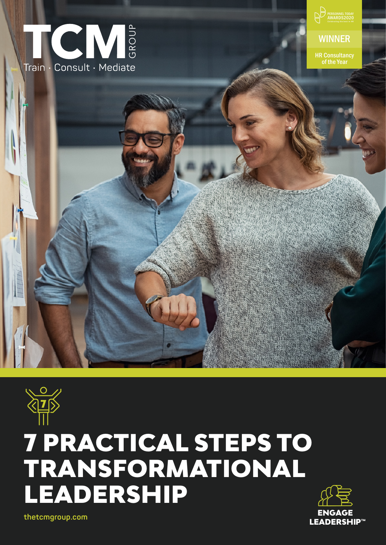



# 7 PRACTICAL STEPS TO TRANSFORMATIONAL LEADERSHIP



**thetcmgroup.com**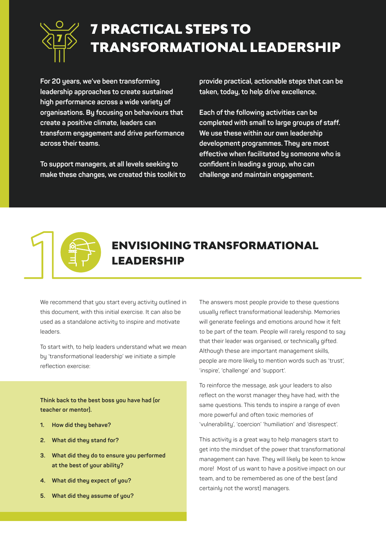

## 7 PRACTICAL STEPS TO TRANSFORMATIONAL LEADERSHIP

**For 20 years, we've been transforming leadership approaches to create sustained high performance across a wide variety of organisations. By focusing on behaviours that create a positive climate, leaders can transform engagement and drive performance across their teams.**

**To support managers, at all levels seeking to make these changes, we created this toolkit to**  **provide practical, actionable steps that can be taken, today, to help drive excellence.**

**Each of the following activities can be completed with small to large groups of staff. We use these within our own leadership development programmes. They are most effective when facilitated by someone who is confident in leading a group, who can challenge and maintain engagement.**



### ENVISIONING TRANSFORMATIONAL LEADERSHIP

We recommend that you start every activity outlined in this document, with this initial exercise. It can also be used as a standalone activity to inspire and motivate leaders.

To start with, to help leaders understand what we mean by 'transformational leadership' we initiate a simple reflection exercise:

**Think back to the best boss you have had (or teacher or mentor).**

- **1. How did they behave?**
- **2. What did they stand for?**
- **3. What did they do to ensure you performed at the best of your ability?**
- **4. What did they expect of you?**
- **5. What did they assume of you?**

The answers most people provide to these questions usually reflect transformational leadership. Memories will generate feelings and emotions around how it felt to be part of the team. People will rarely respond to say that their leader was organised, or technically gifted. Although these are important management skills, people are more likely to mention words such as 'trust', 'inspire', 'challenge' and 'support'.

To reinforce the message, ask your leaders to also reflect on the worst manager they have had, with the same questions. This tends to inspire a range of even more powerful and often toxic memories of 'vulnerability', 'coercion' 'humiliation' and 'disrespect'.

This activity is a great way to help managers start to get into the mindset of the power that transformational management can have. They will likely be keen to know more! Most of us want to have a positive impact on our team, and to be remembered as one of the best (and certainly not the worst) managers.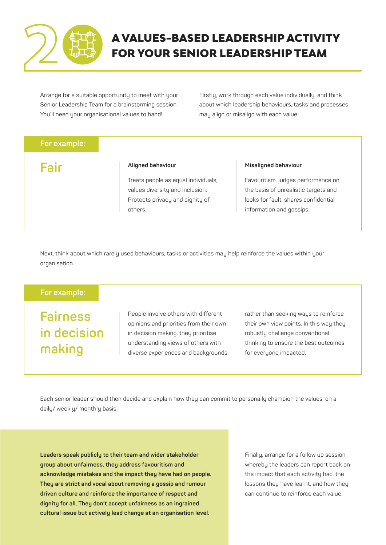

### A VALUES-BASED LEADERSHIP ACTIVITY FOR YOUR SENIOR LEADERSHIP TEAM

Arrange for a suitable opportunity to meet with your Senior Leadership Team for a brainstorming session. You'll need your organisational values to hand!

Firstly, work through each value individually, and think about which leadership behaviours, tasks and processes may align or misalign with each value.

#### **For example:**

**Fair**

#### **Aligned behaviour**

Treats people as equal individuals, values diversity and inclusion. Protects privacy and dignity of others.

#### **Misaligned behaviour**

Favouritism, judges performance on the basis of unrealistic targets and looks for fault, shares confidential information and gossips.

Next, think about which rarely used behaviours, tasks or activities may help reinforce the values within your organisation.

### **For example:**

**Fairness in decision making**

People involve others with different opinions and priorities from their own in decision making, they prioritise understanding views of others with diverse experiences and backgrounds, rather than seeking ways to reinforce their own view points. In this way they robustly challenge conventional thinking to ensure the best outcomes for everyone impacted.

Each senior leader should then decide and explain how they can commit to personally champion the values, on a daily/ weekly/ monthly basis.

**Leaders speak publicly to their team and wider stakeholder group about unfairness, they address favouritism and acknowledge mistakes and the impact they have had on people. They are strict and vocal about removing a gossip and rumour driven culture and reinforce the importance of respect and dignity for all. They don't accept unfairness as an ingrained cultural issue but actively lead change at an organisation level.**

Finally, arrange for a follow up session, wherebu the leaders can report back on the impact that each activity had, the lessons they have learnt, and how they can continue to reinforce each value.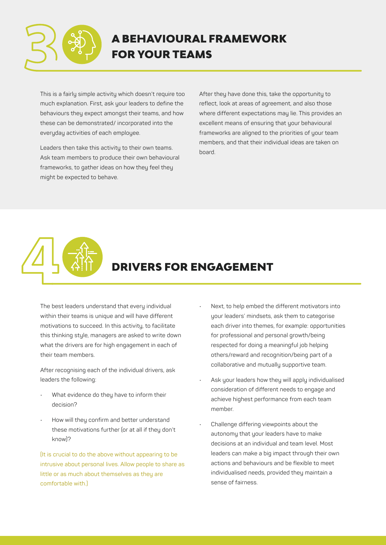

This is a fairly simple activity which doesn't require too much explanation. First, ask your leaders to define the behaviours they expect amongst their teams, and how these can be demonstrated/ incorporated into the everyday activities of each employee.

Leaders then take this activity to their own teams. Ask team members to produce their own behavioural frameworks, to gather ideas on how they feel they might be expected to behave.

After they have done this, take the opportunity to reflect, look at areas of agreement, and also those where different expectations may lie. This provides an excellent means of ensuring that your behavioural frameworks are aligned to the priorities of your team members, and that their individual ideas are taken on board.

### DRIVERS FOR ENGAGEMENT

The best leaders understand that every individual within their teams is unique and will have different motivations to succeed. In this activity, to facilitate this thinking style, managers are asked to write down what the drivers are for high engagement in each of their team members.

After recognising each of the individual drivers, ask leaders the following:

- What evidence do they have to inform their decision?
- How will they confirm and better understand these motivations further (or at all if they don't know)?

(It is crucial to do the above without appearing to be intrusive about personal lives. Allow people to share as little or as much about themselves as they are comfortable with.)

- Next, to help embed the different motivators into your leaders' mindsets, ask them to categorise each driver into themes, for example: opportunities for professional and personal growth/being respected for doing a meaningful job helping others/reward and recognition/being part of a collaborative and mutually supportive team.
- Ask your leaders how they will apply individualised consideration of different needs to engage and achieve highest performance from each team member.
- Challenge differing viewpoints about the autonomy that your leaders have to make decisions at an individual and team level. Most leaders can make a big impact through their own actions and behaviours and be flexible to meet individualised needs, provided they maintain a sense of fairness.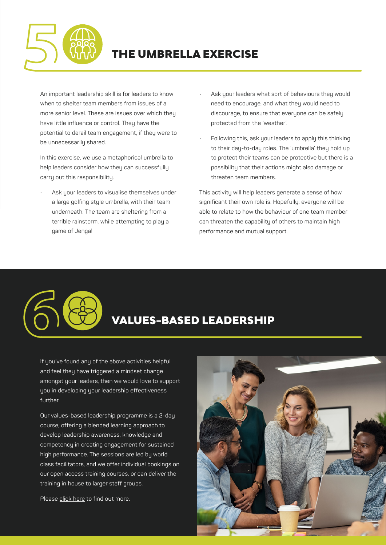

### THE UMBRELLA EXERCISE

An important leadership skill is for leaders to know when to shelter team members from issues of a more senior level. These are issues over which they have little influence or control. They have the potential to derail team engagement, if they were to be unnecessarily shared.

In this exercise, we use a metaphorical umbrella to help leaders consider how they can successfully carry out this responsibility.

Ask your leaders to visualise themselves under a large golfing style umbrella, with their team underneath. The team are sheltering from a terrible rainstorm, while attempting to play a game of Jenga!

- Ask your leaders what sort of behaviours they would need to encourage, and what they would need to discourage, to ensure that everyone can be safely protected from the 'weather'.
- Following this, ask your leaders to apply this thinking to their day-to-day roles. The 'umbrella' they hold up to protect their teams can be protective but there is a possibility that their actions might also damage or threaten team members.

This activity will help leaders generate a sense of how significant their own role is. Hopefully, everyone will be able to relate to how the behaviour of one team member can threaten the capability of others to maintain high performance and mutual support.

### VALUES-BASED LEADERSHIP

If you've found any of the above activities helpful and feel they have triggered a mindset change amongst your leaders, then we would love to support you in developing your leadership effectiveness further.

Our values-based leadership programme is a 2-day course, offering a blended learning approach to develop leadership awareness, knowledge and competency in creating engagement for sustained high performance. The sessions are led by world class facilitators, and we offer individual bookings on our open access training courses, or can deliver the training in house to larger staff groups.

Please [click here](https://thetcmgroup.com/tcm_course/values-based-leadership/) to find out more.